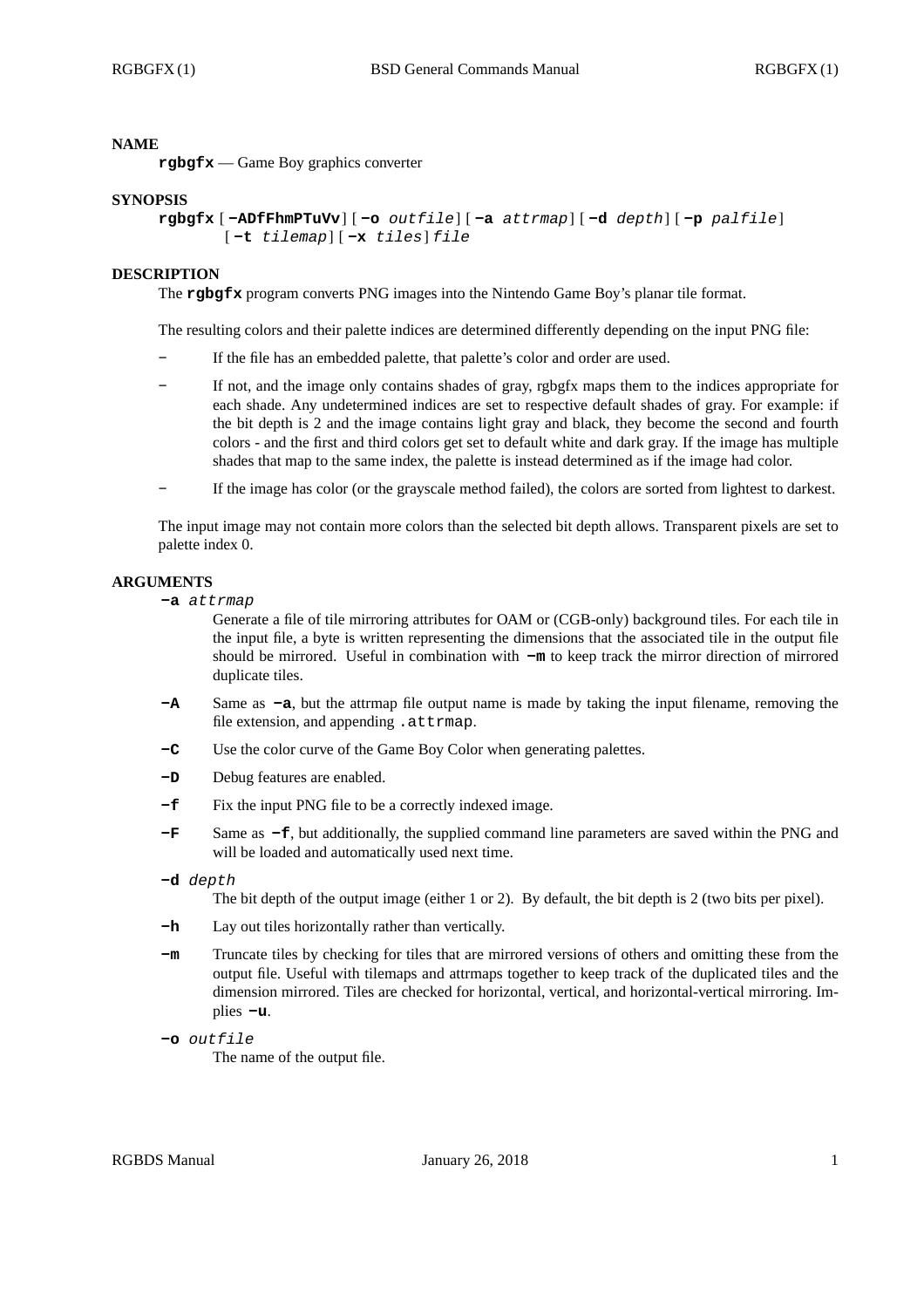# **NAME**

**rgbgfx** — Game Boy graphics converter

### **SYNOPSIS**

```
rgbgfx [ -ADfFhmPTuVv] [ -o outfile] [ -a attrmap] [ -d depth] [ -p palfile]
[ -t tilemap] [ -x tiles] file
```
### **DESCRIPTION**

The **rgbgfx** program converts PNG images into the Nintendo Game Boy's planar tile format.

The resulting colors and their palette indices are determined differently depending on the input PNG file:

- **-** If the file has an embedded palette, that palette's color and order are used.
- **-** If not, and the image only contains shades of gray, rgbgfx maps them to the indices appropriate for each shade. Any undetermined indices are set to respective default shades of gray. For example: if the bit depth is 2 and the image contains light gray and black, they become the second and fourth colors - and the first and third colors get set to default white and dark gray. If the image has multiple shades that map to the same index, the palette is instead determined as if the image had color.
- **-** If the image has color (or the grayscale method failed), the colors are sorted from lightest to darkest.

The input image may not contain more colors than the selected bit depth allows. Transparent pixels are set to palette index 0.

# **ARGUMENTS**

**-a** *attrmap*

Generate a file of tile mirroring attributes for OAM or (CGB-only) background tiles. For each tile in the input file, a byte is written representing the dimensions that the associated tile in the output file should be mirrored. Useful in combination with **-m** to keep track the mirror direction of mirrored duplicate tiles.

- **-A** Same as **-a**, but the attrmap file output name is made by taking the input filename, removing the file extension, and appending .attrmap.
- **-C** Use the color curve of the Game Boy Color when generating palettes.
- **-D** Debug features are enabled.
- **-f** Fix the input PNG file to be a correctly indexed image.
- **-F** Same as **-f**, but additionally, the supplied command line parameters are saved within the PNG and will be loaded and automatically used next time.
- **-d** *depth*

The bit depth of the output image (either 1 or 2). By default, the bit depth is 2 (two bits per pixel).

- **-h** Lay out tiles horizontally rather than vertically.
- **-m** Truncate tiles by checking for tiles that are mirrored versions of others and omitting these from the output file. Useful with tilemaps and attrmaps together to keep track of the duplicated tiles and the dimension mirrored. Tiles are checked for horizontal, vertical, and horizontal-vertical mirroring. Implies **-u**.
- **-o** *outfile*

The name of the output file.